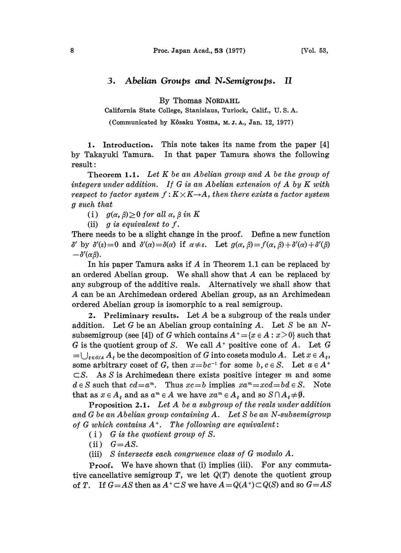## 3. Abelian Groups and N.Semigroups. II

By Thomas NORDAHL

California State College, Stanislaus, Turlock, Calif., U. S. A.

(Communicated by Kôsaku Yosina, M.J.A., Jan. 12, 1977)

1. Introduction. This note takes its name from the paper [4] by Takayuki Tamura. In that paper Tamura shows the following result:

**Theorem 1.1.** Let  $K$  be an Abelian group and  $A$  be the group of integers under addition. If G is an Abelian extension of A by K with respect to factor system  $f: K \times K \rightarrow A$ , then there exists a factor system g such that

(i)  $g(\alpha, \beta) \geq 0$  for all  $\alpha, \beta$  in K

(ii) g is equivalent to  $f$ .

There needs to be a slight change in the proof. Define a new function  $-\delta'(\alpha\beta)$ .  $\delta'$  by  $\delta'(\varepsilon)=0$  and  $\delta'(\alpha)=\delta(\alpha)$  if  $\alpha\neq\varepsilon$ . Let  $g(\alpha,\beta)=f(\alpha,\beta)+\delta'(\alpha)+\delta'(\beta)$ 

In his paper Tamura asks if A in Theorem 1.1 can be replaced by an ordered Abelian group. We shall show that A can be replaeed by any subgroup of the additive reals. Alternatively we shall show that A ean be an Arehimedean ordered Abelian group, as an Arehimedean ordered Abelian group is isomorphic to a real semigroup.

2. Preliminary results. Let  $A$  be a subgroup of the reals under addition. Let G be an Abelian group containing A. Let S be an  $N$ subsemigroup (see [4]) of G which contains  $A^+ = \{x \in A : x > 0\}$  such that  $G$  is the quotient group of S. We call  $A^+$  positive cone of  $A$ . Let  $G$  $=\bigcup_{\xi\in G/A} A_{\xi}$  be the decomposition of G into cosets modulo A. Let  $x\in A_{\xi}$ , some arbitrary coset of G, then  $x=bc^{-1}$  for some  $b, c \in S$ . Let  $a \in A^+ \subset S$ . As S is Archimedean there exists positive integer m and some  $\subset$ S. As S is Archimedean there exists positive integer m and some  $d \in S$  such that  $cd = a^m$ . Thus  $xc = b$  implies  $xa^m = xcd = bd \in S$ . Note that as  $x \in A_{\varepsilon}$  and as  $a^m \in A$  we have  $xa^m \in A_{\varepsilon}$  and so  $S \cap A_{\varepsilon} \neq \emptyset$ .

Proposition 2.1. Let A be <sup>a</sup> subgroup of the reals under addition and G be an Abelian group containing A. Let S be an N-subsemigroup of G which contains  $A^+$ . The following are equivalent:

 $(i)$  G is the quotient group of S.

(ii)  $G = AS$ .

(iii) S intersects each congruence class of G modulo A.

Proof. We have shown that (i) implies (iii). For any commutative cancellative semigroup T, we let  $Q(T)$  denote the quotient group of T. If  $G = AS$  then as  $A^+ \subset S$  we have  $A = Q(A^+) \subset Q(S)$  and so  $G = AS$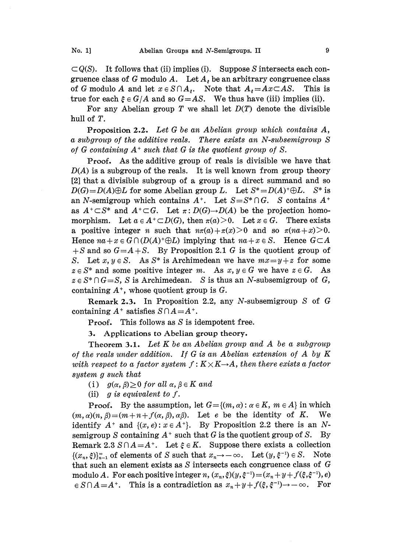$\subset Q(S)$ . It follows that (ii) implies (i). Suppose S intersects each congruence class of G modulo A. Let  $A_i$  be an arbitrary congruence class of G modulo A and let  $x \in S \cap A_i$ . Note that  $A_i = Ax \subset AS$ . This is of G modulo A and let  $x \in S \cap A_{\epsilon}$ . Note that  $A_{\epsilon} = Ax \subset AS$ . true for each  $\xi \in G/A$  and so  $G=AS$ . We thus have (iii) implies (ii).

For any Abelian group T we shall let  $D(T)$  denote the divisible hull of T.

Proposition 2.2. Let G be an Abelian group which contains A, a subgroup of the additive reals. There exists an N-subsemigroup S of G containing  $A^+$  such that G is the quotient group of S.

Proof. As the additive group of reals is divisible we have that  $D(A)$  is a subgroup of the reals. It is well known from group theory [2] that a divisible subgroup of a group is a direct summand and so  $D(G) = D(A) \oplus L$  for some Abelian group L. Let  $S^* = D(A)^+ \oplus L$ . S<sup>\*</sup> is an N-semigroup which contains  $A^+$ . Let  $S = S^* \cap G$ . S contains  $A^+$ as  $A^+\subset S^*$  and  $A^+\subset G$ . Let  $\pi: D(G)\to D(A)$  be the projection homo-<br>mornhism Let  $a\in A^+\subset D(G)$  then  $\pi(a)>0$  Let  $x\in G$ . There exists morphism. Let  $a \in A^+ \subset D(G)$ , then  $\pi(a) > 0$ . Let  $x \in G$ . There exists a positive integer *n* such that  $n\pi(a) + \pi(x) > 0$  and so  $\pi(na + x) > 0$ . Hence  $na + x \in G \cap (D(A)^{+} \oplus L)$  implying that  $na + x \in S$ . Hence  $G \subset A$  $+S$  and so  $G=A+S$ . By Proposition 2.1 G is the quotient group of S. Let  $x, y \in S$ . As  $S^*$  is Archimedean we have  $mx = y + z$  for some  $z \in S^*$  and some positive integer m. As  $x, y \in G$  we have  $z \in G$ . As  $z \in S^* \cap G = S$ , S is Archimedean. S is thus an N-subsemigroup of G, containing  $A^*$ , whose quotient group is  $G$ .

Remark 2.3. In Proposition 2.2, any N-subsemigroup S of G containing  $A^+$  satisfies  $S \cap A = A^+$ .

Proof. This follows as S is idempotent free.

3. Applications to Abelian group theory.

Theorem 3.1. Let  $K$  be an Abelian group and  $A$  be a subgroup of the reals under addition. If G is an Abelian extension of A by  $K$ with respect to a factor system  $f: K \times K \rightarrow A$ , then there exists a factor system g such that  $g \text{ such that}$ <br>(i)  $g(\alpha, \beta) \geq 0 \text{ for all } \alpha, \beta \in K \text{ and}$ 

(ii) g is equivalent to  $f$ .

**Proof.** By the assumption, let  $G = \{(m, \alpha) : \alpha \in K, m \in A\}$  in which  $(m, \alpha)(n, \beta)=(m+n+f(\alpha, \beta), \alpha\beta)$ . Let e be the identity of K. We identify  $A^+$  and  $\{(x, e): x \in A^+\}$ . By Proposition 2.2 there is an Nsemigroup S containing  $A^+$  such that G is the quotient group of S. By Remark 2.3  $S \cap A = A^+$ . Let  $\xi \in K$ . Suppose there exists a collection  $\{(x_n, \xi)\}_{n=1}^{\infty}$  of elements of S such that  $x_n \to -\infty$ . Let  $(y, \xi^{-1}) \in S$ . Note that such an element exists as S intersects each congruence class of G modulo A. For each positive integer n,  $(x_n, \xi)(y, \xi^{-1}) = (x_n + y + f(\xi, \xi^{-1}), e)$  $\in S \cap A = A^+$ . This is a contradiction as  $x_n+y+f(\xi, \xi^{-1})\rightarrow -\infty$ . For